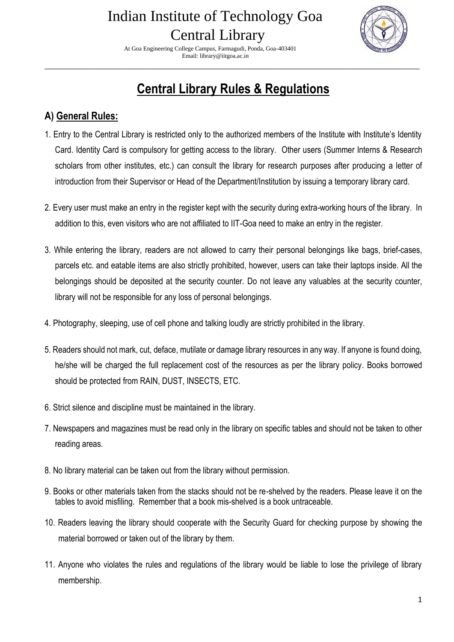At Goa Engineering College Campus, Farmagudi, Ponda, Goa-403401 Email: library@iitgoa.ac.in



## **Central Library Rules & Regulations**

\_\_\_\_\_\_\_\_\_\_\_\_\_\_\_\_\_\_\_\_\_\_\_\_\_\_\_\_\_\_\_\_\_\_\_\_\_\_\_\_\_\_\_\_\_\_\_\_\_\_\_\_\_\_\_\_\_\_\_\_\_\_\_\_\_\_\_\_\_\_\_\_\_\_\_\_\_\_\_\_\_\_

### **A) General Rules:**

- 1. Entry to the Central Library is restricted only to the authorized members of the Institute with Institute's Identity Card. Identity Card is compulsory for getting access to the library. Other users (Summer Interns & Research scholars from other institutes, etc.) can consult the library for research purposes after producing a letter of introduction from their Supervisor or Head of the Department/Institution by issuing a temporary library card.
- 2. Every user must make an entry in the register kept with the security during extra-working hours of the library. In addition to this, even visitors who are not affiliated to IIT-Goa need to make an entry in the register.
- 3. While entering the library, readers are not allowed to carry their personal belongings like bags, brief-cases, parcels etc. and eatable items are also strictly prohibited, however, users can take their laptops inside. All the belongings should be deposited at the security counter. Do not leave any valuables at the security counter, library will not be responsible for any loss of personal belongings.
- 4. Photography, sleeping, use of cell phone and talking loudly are strictly prohibited in the library.
- 5. Readers should not mark, cut, deface, mutilate or damage library resources in any way. If anyone is found doing, he/she will be charged the full replacement cost of the resources as per the library policy. Books borrowed should be protected from RAIN, DUST, INSECTS, ETC.
- 6. Strict silence and discipline must be maintained in the library.
- 7. Newspapers and magazines must be read only in the library on specific tables and should not be taken to other reading areas.
- 8. No library material can be taken out from the library without permission.
- 9. Books or other materials taken from the stacks should not be re-shelved by the readers. Please leave it on the tables to avoid misfiling. Remember that a book mis-shelved is a book untraceable.
- 10. Readers leaving the library should cooperate with the Security Guard for checking purpose by showing the material borrowed or taken out of the library by them.
- 11. Anyone who violates the rules and regulations of the library would be liable to lose the privilege of library membership.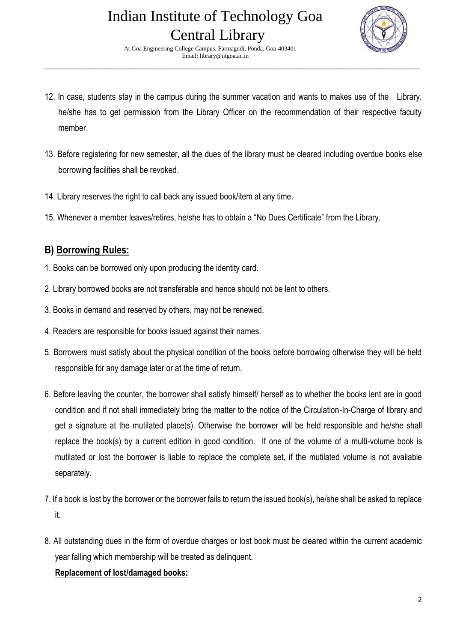## Indian Institute of Technology Goa Central Library At Goa Engineering College Campus, Farmagudi, Ponda, Goa-403401

Email: library@iitgoa.ac.in



12. In case, students stay in the campus during the summer vacation and wants to makes use of the Library, he/she has to get permission from the Library Officer on the recommendation of their respective faculty member.

\_\_\_\_\_\_\_\_\_\_\_\_\_\_\_\_\_\_\_\_\_\_\_\_\_\_\_\_\_\_\_\_\_\_\_\_\_\_\_\_\_\_\_\_\_\_\_\_\_\_\_\_\_\_\_\_\_\_\_\_\_\_\_\_\_\_\_\_\_\_\_\_\_\_\_\_\_\_\_\_\_\_

- 13. Before registering for new semester, all the dues of the library must be cleared including overdue books else borrowing facilities shall be revoked.
- 14. Library reserves the right to call back any issued book/item at any time.
- 15. Whenever a member leaves/retires, he/she has to obtain a "No Dues Certificate" from the Library.

### **B) Borrowing Rules:**

- 1. Books can be borrowed only upon producing the identity card.
- 2. Library borrowed books are not transferable and hence should not be lent to others.
- 3. Books in demand and reserved by others, may not be renewed.
- 4. Readers are responsible for books issued against their names.
- 5. Borrowers must satisfy about the physical condition of the books before borrowing otherwise they will be held responsible for any damage later or at the time of return.
- 6. Before leaving the counter, the borrower shall satisfy himself/ herself as to whether the books lent are in good condition and if not shall immediately bring the matter to the notice of the Circulation-In-Charge of library and get a signature at the mutilated place(s). Otherwise the borrower will be held responsible and he/she shall replace the book(s) by a current edition in good condition. If one of the volume of a multi-volume book is mutilated or lost the borrower is liable to replace the complete set, if the mutilated volume is not available separately.
- 7. If a book is lost by the borrower or the borrower fails to return the issued book(s), he/she shall be asked to replace it.
- 8. All outstanding dues in the form of overdue charges or lost book must be cleared within the current academic year falling which membership will be treated as delinquent.

#### **Replacement of lost/damaged books:**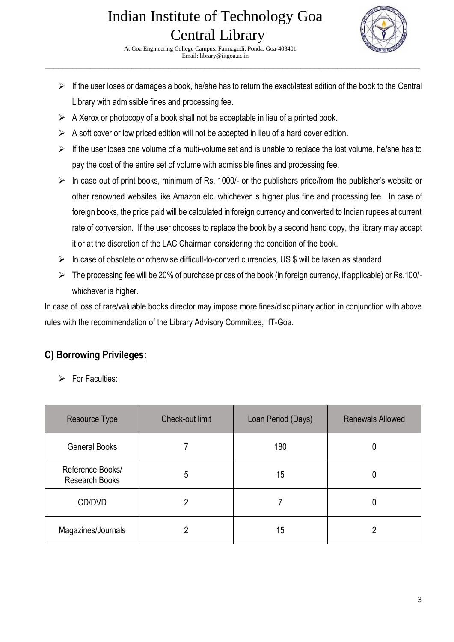

 At Goa Engineering College Campus, Farmagudi, Ponda, Goa-403401 Email: library@iitgoa.ac.in

 $\triangleright$  If the user loses or damages a book, he/she has to return the exact/latest edition of the book to the Central Library with admissible fines and processing fee.

\_\_\_\_\_\_\_\_\_\_\_\_\_\_\_\_\_\_\_\_\_\_\_\_\_\_\_\_\_\_\_\_\_\_\_\_\_\_\_\_\_\_\_\_\_\_\_\_\_\_\_\_\_\_\_\_\_\_\_\_\_\_\_\_\_\_\_\_\_\_\_\_\_\_\_\_\_\_\_\_\_\_

- $\triangleright$  A Xerox or photocopy of a book shall not be acceptable in lieu of a printed book.
- $\triangleright$  A soft cover or low priced edition will not be accepted in lieu of a hard cover edition.
- $\triangleright$  If the user loses one volume of a multi-volume set and is unable to replace the lost volume, he/she has to pay the cost of the entire set of volume with admissible fines and processing fee.
- ➢ In case out of print books, minimum of Rs. 1000/- or the publishers price/from the publisher's website or other renowned websites like Amazon etc. whichever is higher plus fine and processing fee. In case of foreign books, the price paid will be calculated in foreign currency and converted to Indian rupees at current rate of conversion. If the user chooses to replace the book by a second hand copy, the library may accept it or at the discretion of the LAC Chairman considering the condition of the book.
- ➢ In case of obsolete or otherwise difficult-to-convert currencies, US \$ will be taken as standard.
- ➢ The processing fee will be 20% of purchase prices of the book (in foreign currency, if applicable) or Rs.100/ whichever is higher.

In case of loss of rare/valuable books director may impose more fines/disciplinary action in conjunction with above rules with the recommendation of the Library Advisory Committee, IIT-Goa.

### **C) Borrowing Privileges:**

For Faculties:

| Resource Type                             | Check-out limit | Loan Period (Days) | <b>Renewals Allowed</b> |
|-------------------------------------------|-----------------|--------------------|-------------------------|
| <b>General Books</b>                      |                 | 180                |                         |
| Reference Books/<br><b>Research Books</b> | 5               | 15                 |                         |
| CD/DVD                                    |                 |                    |                         |
| Magazines/Journals                        | 2               | 15                 |                         |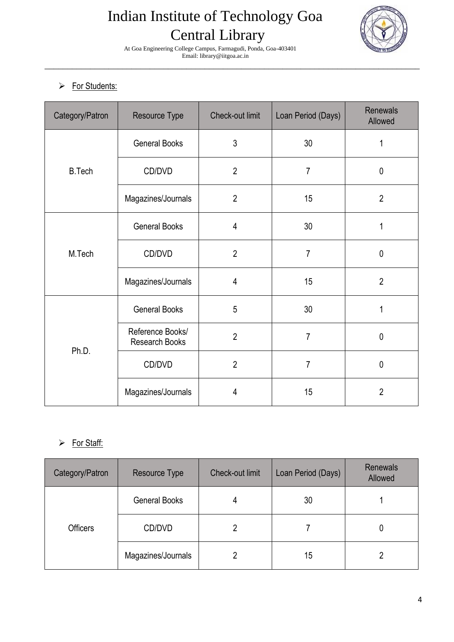

 At Goa Engineering College Campus, Farmagudi, Ponda, Goa-403401 Email: library@iitgoa.ac.in \_\_\_\_\_\_\_\_\_\_\_\_\_\_\_\_\_\_\_\_\_\_\_\_\_\_\_\_\_\_\_\_\_\_\_\_\_\_\_\_\_\_\_\_\_\_\_\_\_\_\_\_\_\_\_\_\_\_\_\_\_\_\_\_\_\_\_\_\_\_\_\_\_\_\_\_\_\_\_\_\_\_

#### ➢ For Students:

| Category/Patron | Resource Type                      | Check-out limit | Loan Period (Days) | <b>Renewals</b><br>Allowed |
|-----------------|------------------------------------|-----------------|--------------------|----------------------------|
| <b>B.Tech</b>   | <b>General Books</b>               | 3               | 30                 | 1                          |
|                 | CD/DVD                             | $\overline{2}$  | $\overline{7}$     | $\mathbf 0$                |
|                 | Magazines/Journals                 | $\overline{2}$  | 15                 | $\overline{2}$             |
| M.Tech          | <b>General Books</b>               | 4               | 30                 | 1                          |
|                 | CD/DVD                             | $\overline{2}$  | $\overline{7}$     | $\mathbf 0$                |
|                 | Magazines/Journals                 | 4               | 15                 | $\overline{2}$             |
| Ph.D.           | <b>General Books</b>               | 5               | 30                 | 1                          |
|                 | Reference Books/<br>Research Books | $\overline{2}$  | $\overline{7}$     | $\pmb{0}$                  |
|                 | CD/DVD                             | $\overline{2}$  | $\overline{7}$     | $\pmb{0}$                  |
|                 | Magazines/Journals                 | 4               | 15                 | $\overline{2}$             |

#### ➢ For Staff:

| Category/Patron | Resource Type        | <b>Check-out limit</b> | Loan Period (Days) | <b>Renewals</b><br>Allowed |
|-----------------|----------------------|------------------------|--------------------|----------------------------|
| <b>Officers</b> | <b>General Books</b> | 4                      | 30                 |                            |
|                 | CD/DVD               | 2                      |                    | 0                          |
|                 | Magazines/Journals   |                        | 15                 |                            |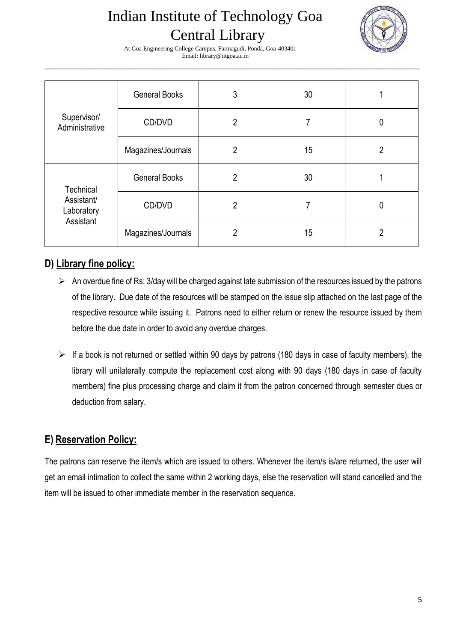

 At Goa Engineering College Campus, Farmagudi, Ponda, Goa-403401 Email: library@iitgoa.ac.in \_\_\_\_\_\_\_\_\_\_\_\_\_\_\_\_\_\_\_\_\_\_\_\_\_\_\_\_\_\_\_\_\_\_\_\_\_\_\_\_\_\_\_\_\_\_\_\_\_\_\_\_\_\_\_\_\_\_\_\_\_\_\_\_\_\_\_\_\_\_\_\_\_\_\_\_\_\_\_\_\_\_

| Supervisor/<br>Administrative                      | <b>General Books</b> | 3              | 30 |   |
|----------------------------------------------------|----------------------|----------------|----|---|
|                                                    | CD/DVD               | 2              | 7  | 0 |
|                                                    | Magazines/Journals   | 2              | 15 | 2 |
| Technical<br>Assistant/<br>Laboratory<br>Assistant | <b>General Books</b> | $\overline{2}$ | 30 |   |
|                                                    | CD/DVD               | $\overline{2}$ | 7  | 0 |
|                                                    | Magazines/Journals   | 2              | 15 | 2 |

### **D) Library fine policy:**

- ➢ An overdue fine of Rs: 3/day will be charged against late submission of the resources issued by the patrons of the library. Due date of the resources will be stamped on the issue slip attached on the last page of the respective resource while issuing it. Patrons need to either return or renew the resource issued by them before the due date in order to avoid any overdue charges.
- ➢ If a book is not returned or settled within 90 days by patrons (180 days in case of faculty members), the library will unilaterally compute the replacement cost along with 90 days (180 days in case of faculty members) fine plus processing charge and claim it from the patron concerned through semester dues or deduction from salary.

### **E) Reservation Policy:**

The patrons can reserve the item/s which are issued to others. Whenever the item/s is/are returned, the user will get an email intimation to collect the same within 2 working days, else the reservation will stand cancelled and the item will be issued to other immediate member in the reservation sequence.